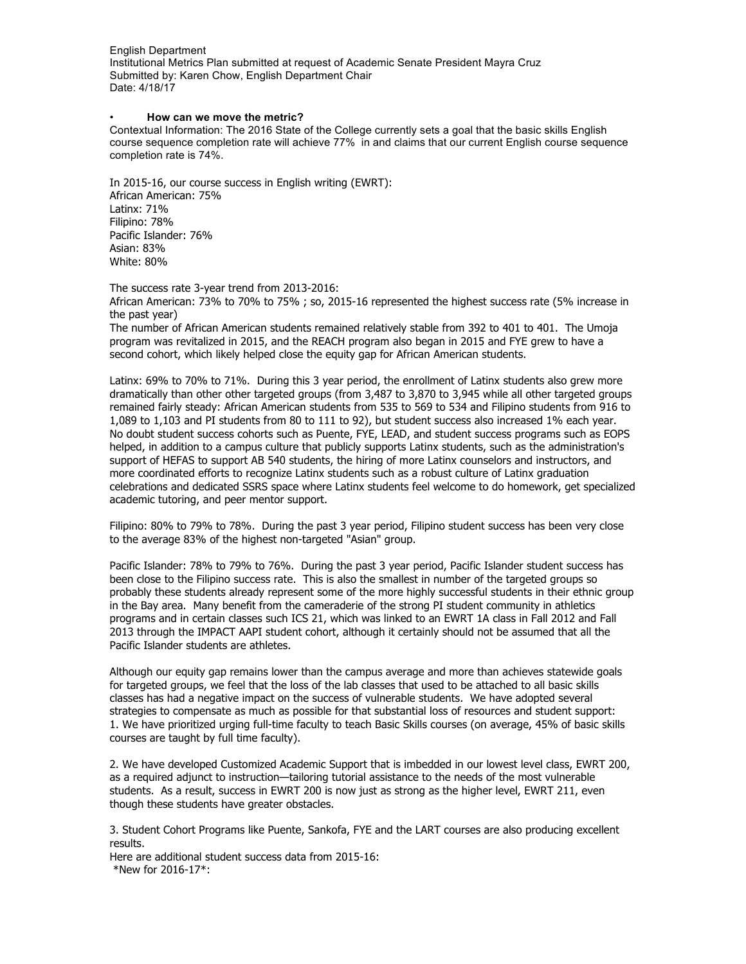#### • **How can we move the metric?**

Contextual Information: The 2016 State of the College currently sets a goal that the basic skills English course sequence completion rate will achieve 77% in and claims that our current English course sequence completion rate is 74%.

In 2015-16, our course success in English writing (EWRT): African American: 75% Latinx: 71% Filipino: 78% Pacific Islander: 76% Asian: 83% White: 80%

The success rate 3-year trend from 2013-2016:

African American: 73% to 70% to 75% ; so, 2015-16 represented the highest success rate (5% increase in the past year)

The number of African American students remained relatively stable from 392 to 401 to 401. The Umoja program was revitalized in 2015, and the REACH program also began in 2015 and FYE grew to have a second cohort, which likely helped close the equity gap for African American students.

Latinx: 69% to 70% to 71%. During this 3 year period, the enrollment of Latinx students also grew more dramatically than other other targeted groups (from 3,487 to 3,870 to 3,945 while all other targeted groups remained fairly steady: African American students from 535 to 569 to 534 and Filipino students from 916 to 1,089 to 1,103 and PI students from 80 to 111 to 92), but student success also increased 1% each year. No doubt student success cohorts such as Puente, FYE, LEAD, and student success programs such as EOPS helped, in addition to a campus culture that publicly supports Latinx students, such as the administration's support of HEFAS to support AB 540 students, the hiring of more Latinx counselors and instructors, and more coordinated efforts to recognize Latinx students such as a robust culture of Latinx graduation celebrations and dedicated SSRS space where Latinx students feel welcome to do homework, get specialized academic tutoring, and peer mentor support.

Filipino: 80% to 79% to 78%. During the past 3 year period, Filipino student success has been very close to the average 83% of the highest non-targeted "Asian" group.

Pacific Islander: 78% to 79% to 76%. During the past 3 year period, Pacific Islander student success has been close to the Filipino success rate. This is also the smallest in number of the targeted groups so probably these students already represent some of the more highly successful students in their ethnic group in the Bay area. Many benefit from the cameraderie of the strong PI student community in athletics programs and in certain classes such ICS 21, which was linked to an EWRT 1A class in Fall 2012 and Fall 2013 through the IMPACT AAPI student cohort, although it certainly should not be assumed that all the Pacific Islander students are athletes.

Although our equity gap remains lower than the campus average and more than achieves statewide goals for targeted groups, we feel that the loss of the lab classes that used to be attached to all basic skills classes has had a negative impact on the success of vulnerable students. We have adopted several strategies to compensate as much as possible for that substantial loss of resources and student support: 1. We have prioritized urging full-time faculty to teach Basic Skills courses (on average, 45% of basic skills courses are taught by full time faculty).

2. We have developed Customized Academic Support that is imbedded in our lowest level class, EWRT 200, as a required adjunct to instruction—tailoring tutorial assistance to the needs of the most vulnerable students. As a result, success in EWRT 200 is now just as strong as the higher level, EWRT 211, even though these students have greater obstacles.

3. Student Cohort Programs like Puente, Sankofa, FYE and the LART courses are also producing excellent results.

Here are additional student success data from 2015-16: \*New for 2016-17\*: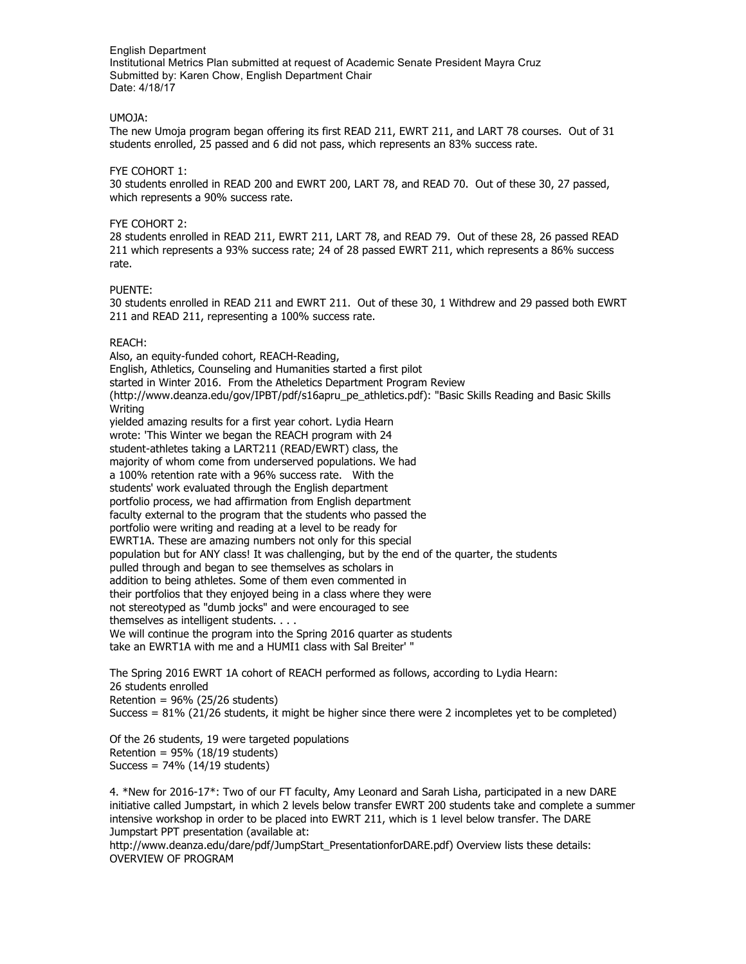### UMOJA:

The new Umoja program began offering its first READ 211, EWRT 211, and LART 78 courses. Out of 31 students enrolled, 25 passed and 6 did not pass, which represents an 83% success rate.

### FYE COHORT 1:

30 students enrolled in READ 200 and EWRT 200, LART 78, and READ 70. Out of these 30, 27 passed, which represents a 90% success rate.

### FYE COHORT 2:

28 students enrolled in READ 211, EWRT 211, LART 78, and READ 79. Out of these 28, 26 passed READ 211 which represents a 93% success rate; 24 of 28 passed EWRT 211, which represents a 86% success rate.

#### PUENTE:

30 students enrolled in READ 211 and EWRT 211. Out of these 30, 1 Withdrew and 29 passed both EWRT 211 and READ 211, representing a 100% success rate.

### REACH:

Also, an equity-funded cohort, REACH-Reading, English, Athletics, Counseling and Humanities started a first pilot started in Winter 2016. From the Atheletics Department Program Review (http://www.deanza.edu/gov/IPBT/pdf/s16apru\_pe\_athletics.pdf): "Basic Skills Reading and Basic Skills Writing yielded amazing results for a first year cohort. Lydia Hearn wrote: 'This Winter we began the REACH program with 24 student-athletes taking a LART211 (READ/EWRT) class, the majority of whom come from underserved populations. We had a 100% retention rate with a 96% success rate. With the students' work evaluated through the English department portfolio process, we had affirmation from English department faculty external to the program that the students who passed the portfolio were writing and reading at a level to be ready for EWRT1A. These are amazing numbers not only for this special population but for ANY class! It was challenging, but by the end of the quarter, the students pulled through and began to see themselves as scholars in addition to being athletes. Some of them even commented in their portfolios that they enjoyed being in a class where they were not stereotyped as "dumb jocks" and were encouraged to see themselves as intelligent students. . . . We will continue the program into the Spring 2016 quarter as students take an EWRT1A with me and a HUMI1 class with Sal Breiter' "

The Spring 2016 EWRT 1A cohort of REACH performed as follows, according to Lydia Hearn: 26 students enrolled Retention =  $96%$  (25/26 students) Success = 81% (21/26 students, it might be higher since there were 2 incompletes yet to be completed)

Of the 26 students, 19 were targeted populations Retention =  $95\%$  (18/19 students) Success =  $74\%$  (14/19 students)

4. \*New for 2016-17\*: Two of our FT faculty, Amy Leonard and Sarah Lisha, participated in a new DARE initiative called Jumpstart, in which 2 levels below transfer EWRT 200 students take and complete a summer intensive workshop in order to be placed into EWRT 211, which is 1 level below transfer. The DARE Jumpstart PPT presentation (available at:

http://www.deanza.edu/dare/pdf/JumpStart\_PresentationforDARE.pdf) Overview lists these details: OVERVIEW OF PROGRAM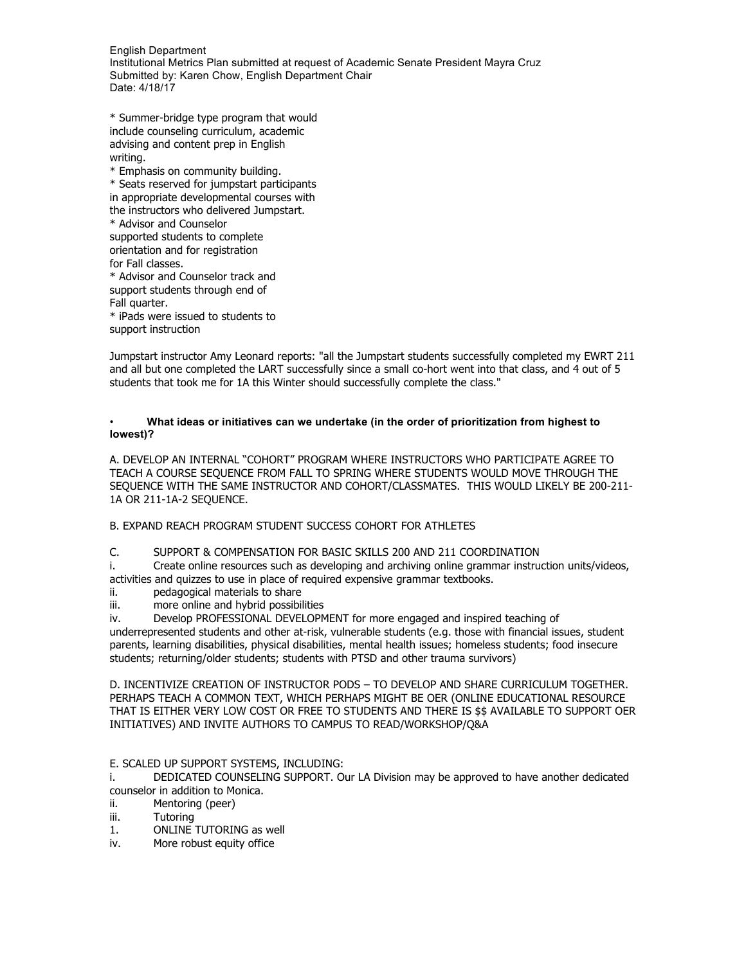\* Summer-bridge type program that would include counseling curriculum, academic advising and content prep in English writing.

\* Emphasis on community building. \* Seats reserved for jumpstart participants in appropriate developmental courses with the instructors who delivered Jumpstart. \* Advisor and Counselor supported students to complete orientation and for registration for Fall classes. \* Advisor and Counselor track and support students through end of Fall quarter.

\* iPads were issued to students to support instruction

Jumpstart instructor Amy Leonard reports: "all the Jumpstart students successfully completed my EWRT 211 and all but one completed the LART successfully since a small co-hort went into that class, and 4 out of 5 students that took me for 1A this Winter should successfully complete the class."

### • **What ideas or initiatives can we undertake (in the order of prioritization from highest to lowest)?**

A. DEVELOP AN INTERNAL "COHORT" PROGRAM WHERE INSTRUCTORS WHO PARTICIPATE AGREE TO TEACH A COURSE SEQUENCE FROM FALL TO SPRING WHERE STUDENTS WOULD MOVE THROUGH THE SEQUENCE WITH THE SAME INSTRUCTOR AND COHORT/CLASSMATES. THIS WOULD LIKELY BE 200-211- 1A OR 211-1A-2 SEQUENCE.

B. EXPAND REACH PROGRAM STUDENT SUCCESS COHORT FOR ATHLETES

# C. SUPPORT & COMPENSATION FOR BASIC SKILLS 200 AND 211 COORDINATION

i. Create online resources such as developing and archiving online grammar instruction units/videos, activities and quizzes to use in place of required expensive grammar textbooks.

- ii. pedagogical materials to share
- iii. more online and hybrid possibilities

iv. Develop PROFESSIONAL DEVELOPMENT for more engaged and inspired teaching of

underrepresented students and other at-risk, vulnerable students (e.g. those with financial issues, student parents, learning disabilities, physical disabilities, mental health issues; homeless students; food insecure students; returning/older students; students with PTSD and other trauma survivors)

D. INCENTIVIZE CREATION OF INSTRUCTOR PODS – TO DEVELOP AND SHARE CURRICULUM TOGETHER. PERHAPS TEACH A COMMON TEXT, WHICH PERHAPS MIGHT BE OER (ONLINE EDUCATIONAL RESOURCE THAT IS EITHER VERY LOW COST OR FREE TO STUDENTS AND THERE IS \$\$ AVAILABLE TO SUPPORT OER INITIATIVES) AND INVITE AUTHORS TO CAMPUS TO READ/WORKSHOP/Q&A

# E. SCALED UP SUPPORT SYSTEMS, INCLUDING:

i. DEDICATED COUNSELING SUPPORT. Our LA Division may be approved to have another dedicated counselor in addition to Monica.

- ii. Mentoring (peer)
- iii. Tutoring
- 1. ONLINE TUTORING as well
- iv. More robust equity office